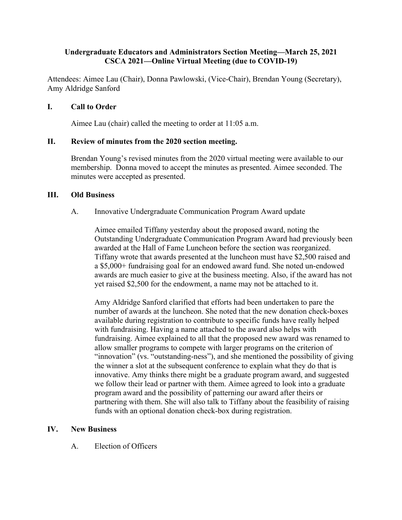# **Undergraduate Educators and Administrators Section Meeting—March 25, 2021 CSCA 2021—Online Virtual Meeting (due to COVID-19)**

Attendees: Aimee Lau (Chair), Donna Pawlowski, (Vice-Chair), Brendan Young (Secretary), Amy Aldridge Sanford

# **I. Call to Order**

Aimee Lau (chair) called the meeting to order at 11:05 a.m.

# **II. Review of minutes from the 2020 section meeting.**

Brendan Young's revised minutes from the 2020 virtual meeting were available to our membership. Donna moved to accept the minutes as presented. Aimee seconded. The minutes were accepted as presented.

### **III. Old Business**

A. Innovative Undergraduate Communication Program Award update

Aimee emailed Tiffany yesterday about the proposed award, noting the Outstanding Undergraduate Communication Program Award had previously been awarded at the Hall of Fame Luncheon before the section was reorganized. Tiffany wrote that awards presented at the luncheon must have \$2,500 raised and a \$5,000+ fundraising goal for an endowed award fund. She noted un-endowed awards are much easier to give at the business meeting. Also, if the award has not yet raised \$2,500 for the endowment, a name may not be attached to it.

Amy Aldridge Sanford clarified that efforts had been undertaken to pare the number of awards at the luncheon. She noted that the new donation check-boxes available during registration to contribute to specific funds have really helped with fundraising. Having a name attached to the award also helps with fundraising. Aimee explained to all that the proposed new award was renamed to allow smaller programs to compete with larger programs on the criterion of "innovation" (vs. "outstanding-ness"), and she mentioned the possibility of giving the winner a slot at the subsequent conference to explain what they do that is innovative. Amy thinks there might be a graduate program award, and suggested we follow their lead or partner with them. Aimee agreed to look into a graduate program award and the possibility of patterning our award after theirs or partnering with them. She will also talk to Tiffany about the feasibility of raising funds with an optional donation check-box during registration.

### **IV. New Business**

A. Election of Officers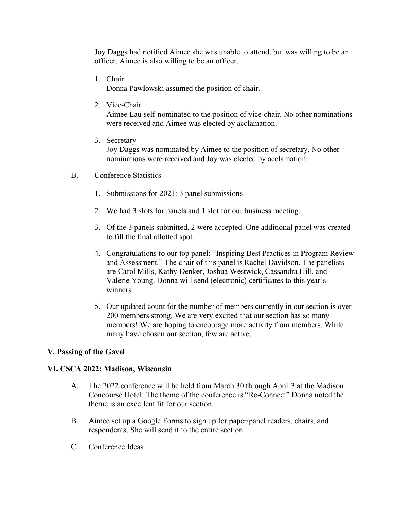Joy Daggs had notified Aimee she was unable to attend, but was willing to be an officer. Aimee is also willing to be an officer.

1. Chair

Donna Pawlowski assumed the position of chair.

2. Vice-Chair

Aimee Lau self-nominated to the position of vice-chair. No other nominations were received and Aimee was elected by acclamation.

- 3. Secretary Joy Daggs was nominated by Aimee to the position of secretary. No other nominations were received and Joy was elected by acclamation.
- B. Conference Statistics
	- 1. Submissions for 2021: 3 panel submissions
	- 2. We had 3 slots for panels and 1 slot for our business meeting.
	- 3. Of the 3 panels submitted, 2 were accepted. One additional panel was created to fill the final allotted spot.
	- 4. Congratulations to our top panel: "Inspiring Best Practices in Program Review and Assessment." The chair of this panel is Rachel Davidson. The panelists are Carol Mills, Kathy Denker, Joshua Westwick, Cassandra Hill, and Valerie Young. Donna will send (electronic) certificates to this year's winners.
	- 5. Our updated count for the number of members currently in our section is over 200 members strong. We are very excited that our section has so many members! We are hoping to encourage more activity from members. While many have chosen our section, few are active.

# **V. Passing of the Gavel**

### **VI. CSCA 2022: Madison, Wisconsin**

- A. The 2022 conference will be held from March 30 through April 3 at the Madison Concourse Hotel. The theme of the conference is "Re-Connect" Donna noted the theme is an excellent fit for our section.
- B. Aimee set up a Google Forms to sign up for paper/panel readers, chairs, and respondents. She will send it to the entire section.
- C. Conference Ideas